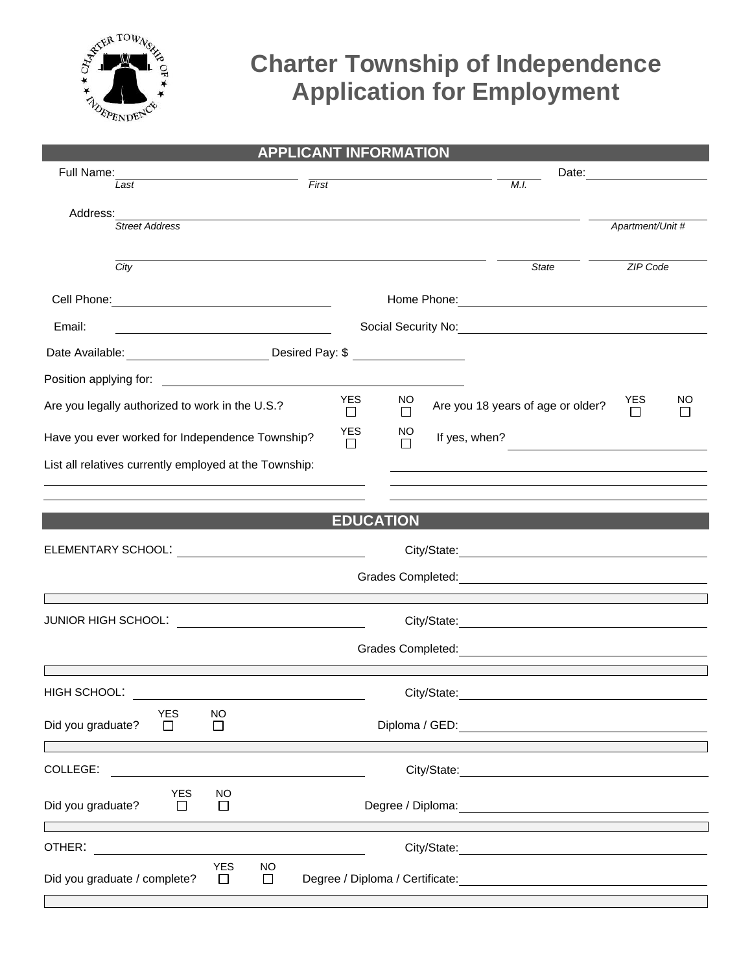

## **Charter Township of Independence Application for Employment**

| <b>APPLICANT INFORMATION</b>                                                                                           |                       |               |             |                                                                                                                  |                  |    |  |
|------------------------------------------------------------------------------------------------------------------------|-----------------------|---------------|-------------|------------------------------------------------------------------------------------------------------------------|------------------|----|--|
| Full Name:                                                                                                             |                       |               |             | Date: <u>________________________</u>                                                                            |                  |    |  |
| Last                                                                                                                   | $\overline{First}$    |               |             | M.I.                                                                                                             |                  |    |  |
| Address:                                                                                                               |                       |               |             |                                                                                                                  |                  |    |  |
| <b>Street Address</b>                                                                                                  |                       |               |             |                                                                                                                  | Apartment/Unit # |    |  |
|                                                                                                                        |                       |               |             |                                                                                                                  |                  |    |  |
| City                                                                                                                   |                       |               |             | <b>State</b>                                                                                                     | <b>ZIP Code</b>  |    |  |
|                                                                                                                        |                       |               |             |                                                                                                                  |                  |    |  |
| Email:                                                                                                                 |                       |               |             |                                                                                                                  |                  |    |  |
| Date Available: _________________________________Desired Pay: \$ ________________                                      |                       |               |             |                                                                                                                  |                  |    |  |
|                                                                                                                        |                       |               |             |                                                                                                                  |                  |    |  |
| Are you legally authorized to work in the U.S.?                                                                        | <b>YES</b><br>П       | NO.<br>$\Box$ |             | Are you 18 years of age or older?                                                                                | <b>YES</b><br>П  | NO |  |
| Have you ever worked for Independence Township?                                                                        | <b>YES</b><br>$\perp$ | NO.<br>П      |             | If yes, when?                                                                                                    |                  |    |  |
| List all relatives currently employed at the Township:                                                                 |                       |               |             | and the control of the control of the control of the control of the control of the control of the control of the |                  |    |  |
|                                                                                                                        |                       |               |             |                                                                                                                  |                  |    |  |
|                                                                                                                        |                       |               |             |                                                                                                                  |                  |    |  |
|                                                                                                                        | <b>EDUCATION</b>      |               |             |                                                                                                                  |                  |    |  |
| ELEMENTARY SCHOOL: <u>_____________________</u>                                                                        |                       |               |             |                                                                                                                  |                  |    |  |
|                                                                                                                        |                       |               |             |                                                                                                                  |                  |    |  |
|                                                                                                                        |                       |               |             |                                                                                                                  |                  |    |  |
| JUNIOR HIGH SCHOOL:                                                                                                    |                       |               |             |                                                                                                                  |                  |    |  |
|                                                                                                                        |                       |               |             |                                                                                                                  |                  |    |  |
|                                                                                                                        |                       |               |             |                                                                                                                  |                  |    |  |
| HIGH SCHOOL:                                                                                                           |                       |               | City/State: |                                                                                                                  |                  |    |  |
| <b>YES</b><br><b>NO</b>                                                                                                |                       |               |             |                                                                                                                  |                  |    |  |
| Did you graduate?<br>$\perp$<br>$\Box$                                                                                 |                       |               |             |                                                                                                                  |                  |    |  |
| <u> 1989 - Jan James James Barnett, mengang pada pada 1980 - Pada pada 2000 - Pada pada 2000 - Pada pada 2000 - Pa</u> |                       |               |             |                                                                                                                  |                  |    |  |
| COLLEGE:                                                                                                               |                       |               |             | City/State: City/State:                                                                                          |                  |    |  |
| <b>YES</b><br>NO<br>Did you graduate?<br>$\Box$<br>$\Box$                                                              |                       |               |             |                                                                                                                  |                  |    |  |
| OTHER:                                                                                                                 |                       |               |             |                                                                                                                  |                  |    |  |
| <b>YES</b><br><b>NO</b><br>Did you graduate / complete?<br>$\Box$<br>$\Box$                                            |                       |               |             |                                                                                                                  |                  |    |  |
|                                                                                                                        |                       |               |             |                                                                                                                  |                  |    |  |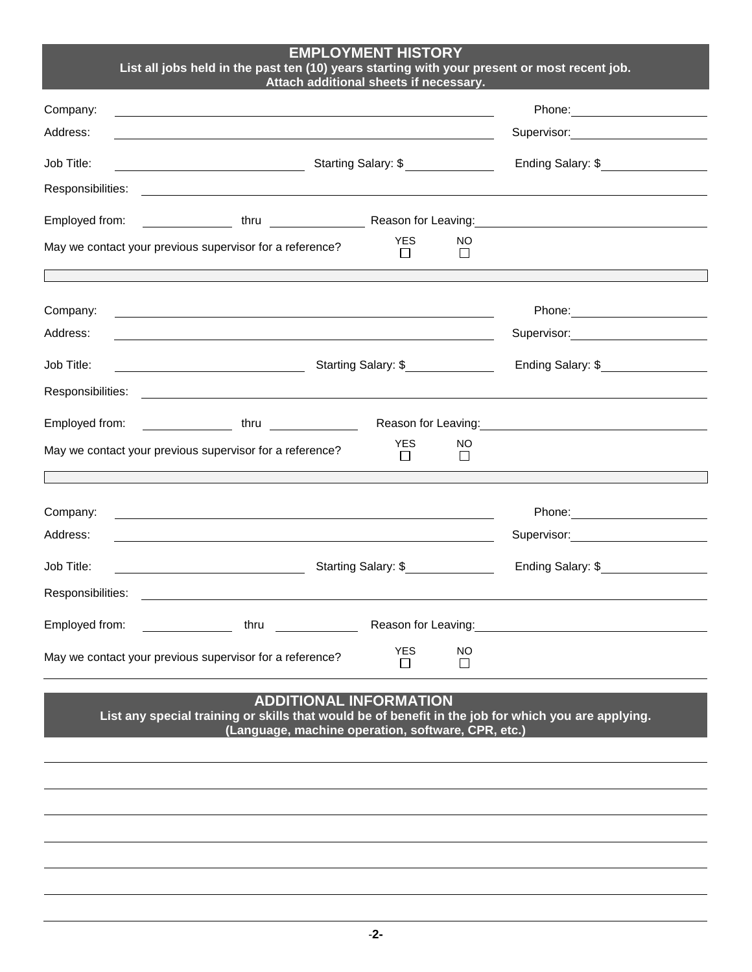## **EMPLOYMENT HISTORY List all jobs held in the past ten (10) years starting with your present or most recent job.**

**Attach additional sheets if necessary.**

| Company:<br>Address:          |                                                                                                                                                                                                                                |                               |               | Phone: <u>_______________</u><br>Supervisor: Victor Control of The Control of The Control of The Control of The Control of The Control of The Co |  |  |  |
|-------------------------------|--------------------------------------------------------------------------------------------------------------------------------------------------------------------------------------------------------------------------------|-------------------------------|---------------|--------------------------------------------------------------------------------------------------------------------------------------------------|--|--|--|
| Job Title:                    | Starting Salary: \$<br><u> 1989 - Johann Barnett, fransk politiker (</u>                                                                                                                                                       | Ending Salary: \$             |               |                                                                                                                                                  |  |  |  |
| Responsibilities:             |                                                                                                                                                                                                                                |                               |               |                                                                                                                                                  |  |  |  |
| Employed from:                |                                                                                                                                                                                                                                |                               |               | thru Reason for Leaving:                                                                                                                         |  |  |  |
|                               | May we contact your previous supervisor for a reference?                                                                                                                                                                       | <b>YES</b><br>П               | NO.<br>П      |                                                                                                                                                  |  |  |  |
|                               |                                                                                                                                                                                                                                |                               |               |                                                                                                                                                  |  |  |  |
| Company:                      | <u> 1989 - Johann Stoff, Amerikaansk politiker († 1908)</u>                                                                                                                                                                    |                               |               |                                                                                                                                                  |  |  |  |
| Address:                      |                                                                                                                                                                                                                                |                               |               | Supervisor: William Supervisor:                                                                                                                  |  |  |  |
| Job Title:                    | Starting Salary: \$<br><u> 1989 - Johann Barbara, martin a</u>                                                                                                                                                                 | Ending Salary: \$             |               |                                                                                                                                                  |  |  |  |
| Responsibilities:             | <u> 1980 - Johann Barn, amerikansk politiker (d. 1980)</u>                                                                                                                                                                     |                               |               |                                                                                                                                                  |  |  |  |
| Employed from:                | thru and the control of the control of the control of the control of the control of the control of the control of the control of the control of the control of the control of the control of the control of the control of the |                               |               | Reason for Leaving: <u>contained a series of the series of the series of the series of the series of the series of</u>                           |  |  |  |
|                               | May we contact your previous supervisor for a reference?                                                                                                                                                                       | <b>YES</b><br>$\perp$         | NO<br>$\Box$  |                                                                                                                                                  |  |  |  |
|                               |                                                                                                                                                                                                                                |                               |               |                                                                                                                                                  |  |  |  |
| Company:                      |                                                                                                                                                                                                                                |                               |               |                                                                                                                                                  |  |  |  |
| Address:                      |                                                                                                                                                                                                                                |                               |               | Supervisor: 2000                                                                                                                                 |  |  |  |
| Job Title:                    | Starting Salary: \$<br><u> 1990 - Johann Barbara, martin a</u>                                                                                                                                                                 | Ending Salary: \$<br><u>[</u> |               |                                                                                                                                                  |  |  |  |
| Responsibilities:             |                                                                                                                                                                                                                                |                               |               |                                                                                                                                                  |  |  |  |
| Employed from:                | thru and the state of the state of the state of the state of the state of the state of the state of the state                                                                                                                  |                               |               | Reason for Leaving:<br><u>Example 2008</u>                                                                                                       |  |  |  |
|                               | May we contact your previous supervisor for a reference?                                                                                                                                                                       | <b>YES</b><br>$\perp$         | NO<br>$\perp$ |                                                                                                                                                  |  |  |  |
| <b>ADDITIONAL INFORMATION</b> |                                                                                                                                                                                                                                |                               |               |                                                                                                                                                  |  |  |  |

**List any special training or skills that would be of benefit in the job for which you are applying. (Language, machine operation, software, CPR, etc.)**